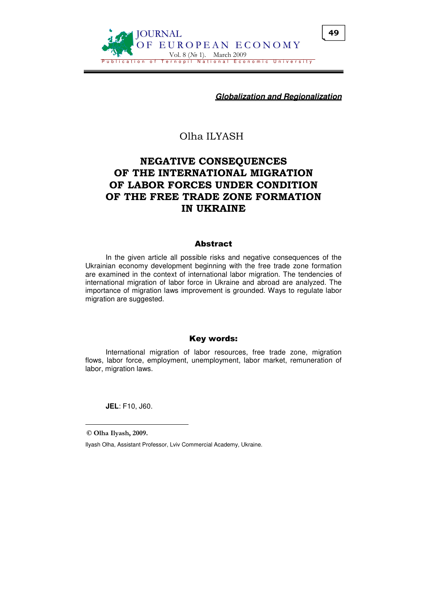

**Globalization and Regionalization**

# Olha ILYASH

# NEGATIVE CONSEQUENCES OF THE INTERNATIONAL MIGRATION OF LABOR FORCES UNDER CONDITION OF THE FREE TRADE ZONE FORMATION IN UKRAINE

#### Abstract

In the given article all possible risks and negative consequences of the Ukrainian economy development beginning with the free trade zone formation are examined in the context of international labor migration. The tendencies of international migration of labor force in Ukraine and abroad are analyzed. The importance of migration laws improvement is grounded. Ways to regulate labor migration are suggested.

### Key words:

International migration of labor resources, free trade zone, migration flows, labor force, employment, unemployment, labor market, remuneration of labor, migration laws.

**JEL**: F10, J60.

© Olha Ilyash, 2009.

 $\overline{a}$ 

Ilyash Olha, Assistant Professor, Lviv Commercial Academy, Ukraine.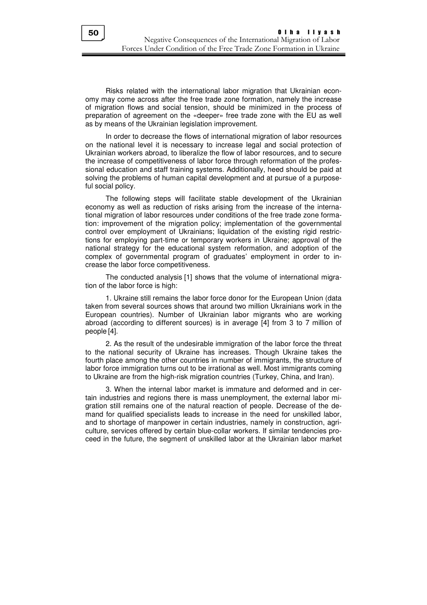Risks related with the international labor migration that Ukrainian economy may come across after the free trade zone formation, namely the increase of migration flows and social tension, should be minimized in the process of preparation of agreement on the «deeper» free trade zone with the EU as well as by means of the Ukrainian legislation improvement.

In order to decrease the flows of international migration of labor resources on the national level it is necessary to increase legal and social protection of Ukrainian workers abroad, to liberalize the flow of labor resources, and to secure the increase of competitiveness of labor force through reformation of the professional education and staff training systems. Additionally, heed should be paid at solving the problems of human capital development and at pursue of a purposeful social policy.

The following steps will facilitate stable development of the Ukrainian economy as well as reduction of risks arising from the increase of the international migration of labor resources under conditions of the free trade zone formation: improvement of the migration policy; implementation of the governmental control over employment of Ukrainians; liquidation of the existing rigid restrictions for employing part-time or temporary workers in Ukraine; approval of the national strategy for the educational system reformation, and adoption of the complex of governmental program of graduates' employment in order to increase the labor force competitiveness.

The conducted analysis [1] shows that the volume of international migration of the labor force is high:

1. Ukraine still remains the labor force donor for the European Union (data taken from several sources shows that around two million Ukrainians work in the European countries). Number of Ukrainian labor migrants who are working abroad (according to different sources) is in average [4] from 3 to 7 million of people [4].

2. As the result of the undesirable immigration of the labor force the threat to the national security of Ukraine has increases. Though Ukraine takes the fourth place among the other countries in number of immigrants, the structure of labor force immigration turns out to be irrational as well. Most immigrants coming to Ukraine are from the high-risk migration countries (Turkey, China, and Iran).

3. When the internal labor market is immature and deformed and in certain industries and regions there is mass unemployment, the external labor migration still remains one of the natural reaction of people. Decrease of the demand for qualified specialists leads to increase in the need for unskilled labor, and to shortage of manpower in certain industries, namely in construction, agriculture, services offered by certain blue-collar workers. If similar tendencies proceed in the future, the segment of unskilled labor at the Ukrainian labor market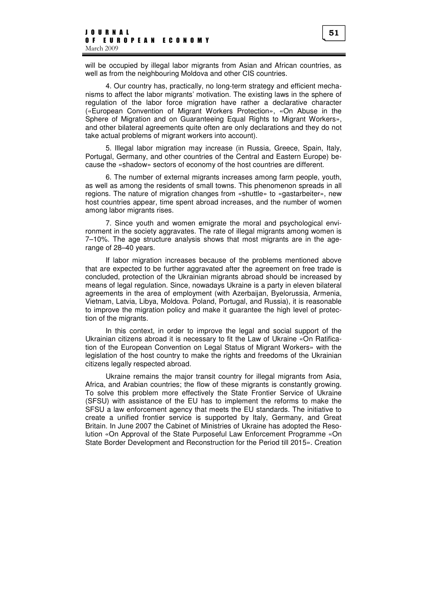will be occupied by illegal labor migrants from Asian and African countries, as well as from the neighbouring Moldova and other CIS countries.

4. Our country has, practically, no long-term strategy and efficient mechanisms to affect the labor migrants' motivation. The existing laws in the sphere of regulation of the labor force migration have rather a declarative character («European Convention of Migrant Workers Protection», «On Abuse in the Sphere of Migration and on Guaranteeing Equal Rights to Migrant Workers», and other bilateral agreements quite often are only declarations and they do not take actual problems of migrant workers into account).

5. Illegal labor migration may increase (in Russia, Greece, Spain, Italy, Portugal, Germany, and other countries of the Central and Eastern Europe) because the «shadow» sectors of economy of the host countries are different.

6. The number of external migrants increases among farm people, youth, as well as among the residents of small towns. This phenomenon spreads in all regions. The nature of migration changes from «shuttle» to «gastarbeiter», new host countries appear, time spent abroad increases, and the number of women among labor migrants rises.

7. Since youth and women emigrate the moral and psychological environment in the society aggravates. The rate of illegal migrants among women is 7–10%. The age structure analysis shows that most migrants are in the agerange of 28–40 years.

If labor migration increases because of the problems mentioned above that are expected to be further aggravated after the agreement on free trade is concluded, protection of the Ukrainian migrants abroad should be increased by means of legal regulation. Since, nowadays Ukraine is a party in eleven bilateral agreements in the area of employment (with Azerbaijan, Byelorussia, Armenia, Vietnam, Latvia, Libya, Moldova. Poland, Portugal, and Russia), it is reasonable to improve the migration policy and make it guarantee the high level of protection of the migrants.

In this context, in order to improve the legal and social support of the Ukrainian citizens abroad it is necessary to fit the Law of Ukraine «On Ratification of the European Convention on Legal Status of Migrant Workers» with the legislation of the host country to make the rights and freedoms of the Ukrainian citizens legally respected abroad.

Ukraine remains the major transit country for illegal migrants from Asia, Africa, and Arabian countries; the flow of these migrants is constantly growing. To solve this problem more effectively the State Frontier Service of Ukraine (SFSU) with assistance of the EU has to implement the reforms to make the SFSU a law enforcement agency that meets the EU standards. The initiative to create a unified frontier service is supported by Italy, Germany, and Great Britain. In June 2007 the Cabinet of Ministries of Ukraine has adopted the Resolution «On Approval of the State Purposeful Law Enforcement Programme «On State Border Development and Reconstruction for the Period till 2015». Creation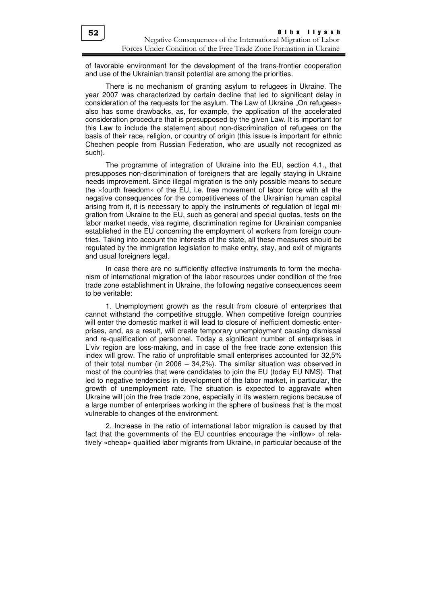of favorable environment for the development of the trans-frontier cooperation and use of the Ukrainian transit potential are among the priorities.

There is no mechanism of granting asylum to refugees in Ukraine. The year 2007 was characterized by certain decline that led to significant delay in consideration of the requests for the asylum. The Law of Ukraine "On refugees» also has some drawbacks, as, for example, the application of the accelerated consideration procedure that is presupposed by the given Law. It is important for this Law to include the statement about non-discrimination of refugees on the basis of their race, religion, or country of origin (this issue is important for ethnic Chechen people from Russian Federation, who are usually not recognized as such).

The programme of integration of Ukraine into the EU, section 4.1., that presupposes non-discrimination of foreigners that are legally staying in Ukraine needs improvement. Since illegal migration is the only possible means to secure the «fourth freedom» of the EU, i.e. free movement of labor force with all the negative consequences for the competitiveness of the Ukrainian human capital arising from it, it is necessary to apply the instruments of regulation of legal migration from Ukraine to the EU, such as general and special quotas, tests on the labor market needs, visa regime, discrimination regime for Ukrainian companies established in the EU concerning the employment of workers from foreign countries. Taking into account the interests of the state, all these measures should be regulated by the immigration legislation to make entry, stay, and exit of migrants and usual foreigners legal.

In case there are no sufficiently effective instruments to form the mechanism of international migration of the labor resources under condition of the free trade zone establishment in Ukraine, the following negative consequences seem to be veritable:

1. Unemployment growth as the result from closure of enterprises that cannot withstand the competitive struggle. When competitive foreign countries will enter the domestic market it will lead to closure of inefficient domestic enterprises, and, as a result, will create temporary unemployment causing dismissal and re-qualification of personnel. Today a significant number of enterprises in L'viv region are loss-making, and in case of the free trade zone extension this index will grow. The ratio of unprofitable small enterprises accounted for 32,5% of their total number (in 2006 – 34,2%). The similar situation was observed in most of the countries that were candidates to join the EU (today EU NMS). That led to negative tendencies in development of the labor market, in particular, the growth of unemployment rate. The situation is expected to aggravate when Ukraine will join the free trade zone, especially in its western regions because of a large number of enterprises working in the sphere of business that is the most vulnerable to changes of the environment.

2. Increase in the ratio of international labor migration is caused by that fact that the governments of the EU countries encourage the «inflow» of relatively «cheap» qualified labor migrants from Ukraine, in particular because of the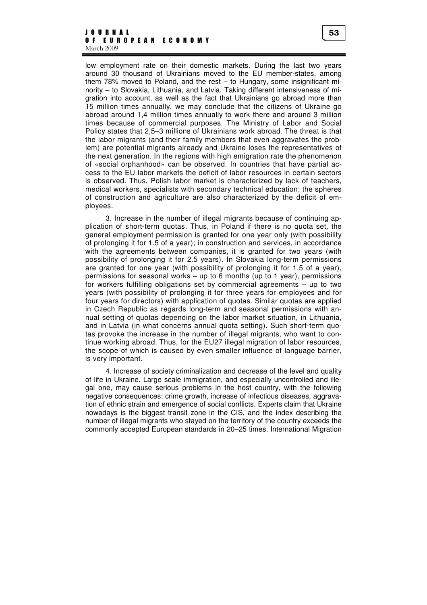#### J O U R N A L O F E U R O P E A N E C O N O M Y March 2009

low employment rate on their domestic markets. During the last two years around 30 thousand of Ukrainians moved to the EU member-states, among them 78% moved to Poland, and the rest – to Hungary, some insignificant minority – to Slovakia, Lithuania, and Latvia. Taking different intensiveness of migration into account, as well as the fact that Ukrainians go abroad more than 15 million times annually, we may conclude that the citizens of Ukraine go abroad around 1,4 million times annually to work there and around 3 million times because of commercial purposes. The Ministry of Labor and Social Policy states that 2,5–3 millions of Ukrainians work abroad. The threat is that the labor migrants (and their family members that even aggravates the problem) are potential migrants already and Ukraine loses the representatives of the next generation. In the regions with high emigration rate the phenomenon of «social orphanhood» can be observed. In countries that have partial access to the EU labor markets the deficit of labor resources in certain sectors is observed. Thus, Polish labor market is characterized by lack of teachers, medical workers, specialists with secondary technical education; the spheres of construction and agriculture are also characterized by the deficit of employees.

3. Increase in the number of illegal migrants because of continuing application of short-term quotas. Thus, in Poland if there is no quota set, the general employment permission is granted for one year only (with possibility of prolonging it for 1.5 of a year); in construction and services, in accordance with the agreements between companies, it is granted for two years (with possibility of prolonging it for 2.5 years). In Slovakia long-term permissions are granted for one year (with possibility of prolonging it for 1.5 of a year), permissions for seasonal works – up to 6 months (up to 1 year), permissions for workers fulfilling obligations set by commercial agreements – up to two years (with possibility of prolonging it for three years for employees and for four years for directors) with application of quotas. Similar quotas are applied in Czech Republic as regards long-term and seasonal permissions with annual setting of quotas depending on the labor market situation, in Lithuania, and in Latvia (in what concerns annual quota setting). Such short-term quotas provoke the increase in the number of illegal migrants, who want to continue working abroad. Thus, for the EU27 illegal migration of labor resources, the scope of which is caused by even smaller influence of language barrier, is very important.

4. Increase of society criminalization and decrease of the level and quality of life in Ukraine. Large scale immigration, and especially uncontrolled and illegal one, may cause serious problems in the host country, with the following negative consequences: crime growth, increase of infectious diseases, aggravation of ethnic strain and emergence of social conflicts. Experts claim that Ukraine nowadays is the biggest transit zone in the CIS, and the index describing the number of illegal migrants who stayed on the territory of the country exceeds the commonly accepted European standards in 20–25 times. International Migration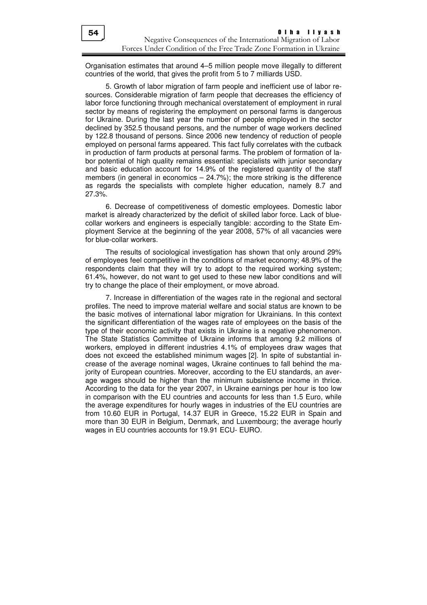Organisation estimates that around 4–5 million people move illegally to different countries of the world, that gives the profit from 5 to 7 milliards USD.

5. Growth of labor migration of farm people and inefficient use of labor resources. Considerable migration of farm people that decreases the efficiency of labor force functioning through mechanical overstatement of employment in rural sector by means of registering the employment on personal farms is dangerous for Ukraine. During the last year the number of people employed in the sector declined by 352.5 thousand persons, and the number of wage workers declined by 122.8 thousand of persons. Since 2006 new tendency of reduction of people employed on personal farms appeared. This fact fully correlates with the cutback in production of farm products at personal farms. The problem of formation of labor potential of high quality remains essential: specialists with junior secondary and basic education account for 14.9% of the registered quantity of the staff members (in general in economics – 24.7%); the more striking is the difference as regards the specialists with complete higher education, namely 8.7 and 27.3%.

6. Decrease of competitiveness of domestic employees. Domestic labor market is already characterized by the deficit of skilled labor force. Lack of bluecollar workers and engineers is especially tangible: according to the State Employment Service at the beginning of the year 2008, 57% of all vacancies were for blue-collar workers.

The results of sociological investigation has shown that only around 29% of employees feel competitive in the conditions of market economy; 48.9% of the respondents claim that they will try to adopt to the required working system; 61.4%, however, do not want to get used to these new labor conditions and will try to change the place of their employment, or move abroad.

7. Increase in differentiation of the wages rate in the regional and sectoral profiles. The need to improve material welfare and social status are known to be the basic motives of international labor migration for Ukrainians. In this context the significant differentiation of the wages rate of employees on the basis of the type of their economic activity that exists in Ukraine is a negative phenomenon. The State Statistics Committee of Ukraine informs that among 9.2 millions of workers, employed in different industries 4.1% of employees draw wages that does not exceed the established minimum wages [2]. In spite of substantial increase of the average nominal wages, Ukraine continues to fall behind the majority of European countries. Moreover, according to the EU standards, an average wages should be higher than the minimum subsistence income in thrice. According to the data for the year 2007, in Ukraine earnings per hour is too low in comparison with the EU countries and accounts for less than 1.5 Euro, while the average expenditures for hourly wages in industries of the EU countries are from 10.60 EUR in Portugal, 14.37 EUR in Greece, 15.22 EUR in Spain and more than 30 EUR in Belgium, Denmark, and Luxembourg; the average hourly wages in EU countries accounts for 19.91 ECU- EURO.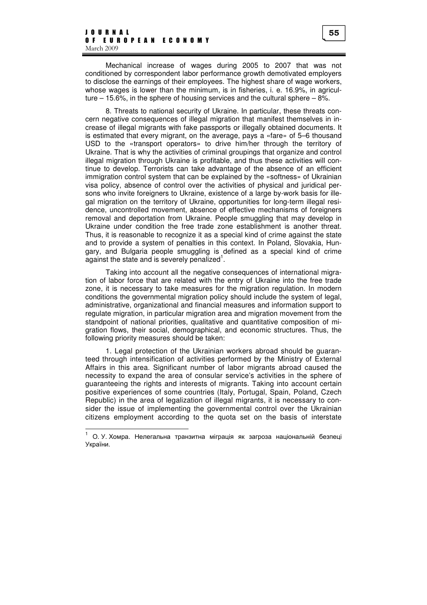Mechanical increase of wages during 2005 to 2007 that was not conditioned by correspondent labor performance growth demotivated employers to disclose the earnings of their employees. The highest share of wage workers, whose wages is lower than the minimum, is in fisheries, i. e. 16.9%, in agriculture – 15.6%, in the sphere of housing services and the cultural sphere – 8%.

8. Threats to national security of Ukraine. In particular, these threats concern negative consequences of illegal migration that manifest themselves in increase of illegal migrants with fake passports or illegally obtained documents. It is estimated that every migrant, on the average, pays a «fare» of 5–6 thousand USD to the «transport operators» to drive him/her through the territory of Ukraine. That is why the activities of criminal groupings that organize and control illegal migration through Ukraine is profitable, and thus these activities will continue to develop. Terrorists can take advantage of the absence of an efficient immigration control system that can be explained by the «softness» of Ukrainian visa policy, absence of control over the activities of physical and juridical persons who invite foreigners to Ukraine, existence of a large by-work basis for illegal migration on the territory of Ukraine, opportunities for long-term illegal residence, uncontrolled movement, absence of effective mechanisms of foreigners removal and deportation from Ukraine. People smuggling that may develop in Ukraine under condition the free trade zone establishment is another threat. Thus, it is reasonable to recognize it as a special kind of crime against the state and to provide a system of penalties in this context. In Poland, Slovakia, Hungary, and Bulgaria people smuggling is defined as a special kind of crime  $a$ gainst the state and is severely penalized<sup>1</sup>.

Taking into account all the negative consequences of international migration of labor force that are related with the entry of Ukraine into the free trade zone, it is necessary to take measures for the migration regulation. In modern conditions the governmental migration policy should include the system of legal, administrative, organizational and financial measures and information support to regulate migration, in particular migration area and migration movement from the standpoint of national priorities, qualitative and quantitative composition of migration flows, their social, demographical, and economic structures. Thus, the following priority measures should be taken:

1. Legal protection of the Ukrainian workers abroad should be guaranteed through intensification of activities performed by the Ministry of External Affairs in this area. Significant number of labor migrants abroad caused the necessity to expand the area of consular service's activities in the sphere of guaranteeing the rights and interests of migrants. Taking into account certain positive experiences of some countries (Italy, Portugal, Spain, Poland, Czech Republic) in the area of legalization of illegal migrants, it is necessary to consider the issue of implementing the governmental control over the Ukrainian citizens employment according to the quota set on the basis of interstate

 $\overline{a}$ 

<sup>1</sup> О. У. Хомра. Нелегальна транзитна міграція як загроза національній безпеці України.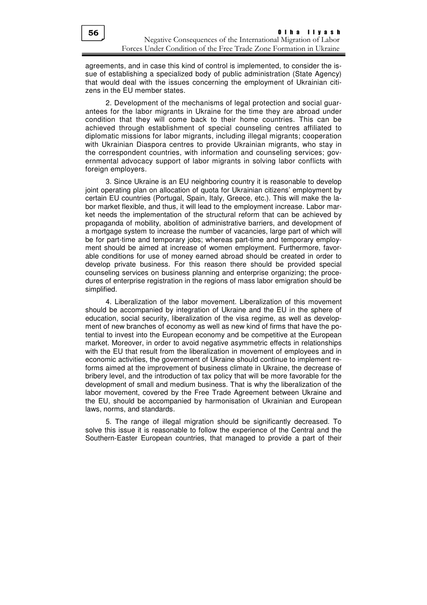agreements, and in case this kind of control is implemented, to consider the issue of establishing a specialized body of public administration (State Agency) that would deal with the issues concerning the employment of Ukrainian citizens in the EU member states.

2. Development of the mechanisms of legal protection and social guarantees for the labor migrants in Ukraine for the time they are abroad under condition that they will come back to their home countries. This can be achieved through establishment of special counseling centres affiliated to diplomatic missions for labor migrants, including illegal migrants; cooperation with Ukrainian Diaspora centres to provide Ukrainian migrants, who stay in the correspondent countries, with information and counseling services; governmental advocacy support of labor migrants in solving labor conflicts with foreign employers.

3. Since Ukraine is an EU neighboring country it is reasonable to develop joint operating plan on allocation of quota for Ukrainian citizens' employment by certain EU countries (Portugal, Spain, Italy, Greece, etc.). This will make the labor market flexible, and thus, it will lead to the employment increase. Labor market needs the implementation of the structural reform that can be achieved by propaganda of mobility, abolition of administrative barriers, and development of a mortgage system to increase the number of vacancies, large part of which will be for part-time and temporary jobs; whereas part-time and temporary employment should be aimed at increase of women employment. Furthermore, favorable conditions for use of money earned abroad should be created in order to develop private business. For this reason there should be provided special counseling services on business planning and enterprise organizing; the procedures of enterprise registration in the regions of mass labor emigration should be simplified.

4. Liberalization of the labor movement. Liberalization of this movement should be accompanied by integration of Ukraine and the EU in the sphere of education, social security, liberalization of the visa regime, as well as development of new branches of economy as well as new kind of firms that have the potential to invest into the European economy and be competitive at the European market. Moreover, in order to avoid negative asymmetric effects in relationships with the EU that result from the liberalization in movement of employees and in economic activities, the government of Ukraine should continue to implement reforms aimed at the improvement of business climate in Ukraine, the decrease of bribery level, and the introduction of tax policy that will be more favorable for the development of small and medium business. That is why the liberalization of the labor movement, covered by the Free Trade Agreement between Ukraine and the EU, should be accompanied by harmonisation of Ukrainian and European laws, norms, and standards.

5. Тhe range of illegal migration should be significantly decreased. To solve this issue it is reasonable to follow the experience of the Central and the Southern-Easter European countries, that managed to provide a part of their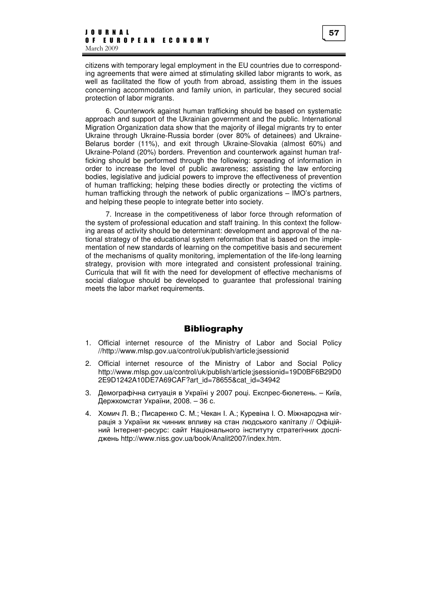citizens with temporary legal employment in the EU countries due to corresponding agreements that were aimed at stimulating skilled labor migrants to work, as well as facilitated the flow of youth from abroad, assisting them in the issues concerning accommodation and family union, in particular, they secured social protection of labor migrants.

6. Counterwork against human trafficking should be based on systematic approach and support of the Ukrainian government and the public. International Migration Organization data show that the majority of illegal migrants try to enter Ukraine through Ukraine-Russia border (over 80% of detainees) and Ukraine-Belarus border (11%), and exit through Ukraine-Slovakia (almost 60%) and Ukraine-Poland (20%) borders. Prevention and counterwork against human trafficking should be performed through the following: spreading of information in order to increase the level of public awareness; assisting the law enforcing bodies, legislative and judicial powers to improve the effectiveness of prevention of human trafficking; helping these bodies directly or protecting the victims of human trafficking through the network of public organizations – IMO's partners, and helping these people to integrate better into society.

7. Increase in the competitiveness of labor force through reformation of the system of professional education and staff training. In this context the following areas of activity should be determinant: development and approval of the national strategy of the educational system reformation that is based on the implementation of new standards of learning on the competitive basis and securement of the mechanisms of quality monitoring, implementation of the life-long learning strategy, provision with more integrated and consistent professional training. Curricula that will fit with the need for development of effective mechanisms of social dialogue should be developed to guarantee that professional training meets the labor market requirements.

### **Bibliography**

- 1. Official internet resource of the Ministry of Labor and Social Policy //http://www.mlsp.gov.ua/control/uk/publish/article;jsessionid
- 2. Official internet resource of the Ministry of Labor and Social Policy http://www.mlsp.gov.ua/control/uk/publish/article;jsessionid=19D0BF6B29D0 2E9D1242A10DE7A69CAF?art\_id=78655&cat\_id=34942
- 3. Демографічна ситуація в Україні у 2007 році. Експрес-бюлетень. Київ, Держкомстат України, 2008. – 36 с.
- 4. Хомич Л. В.; Писаренко С. М.; Чекан І. А.; Куревіна І. О. Міжнародна міграція з України як чинник впливу на стан людського капіталу // Офіційний Інтернет-ресурс: сайт Національного інституту стратегічних досліджень http://www.niss.gov.ua/book/Analit2007/index.htm.